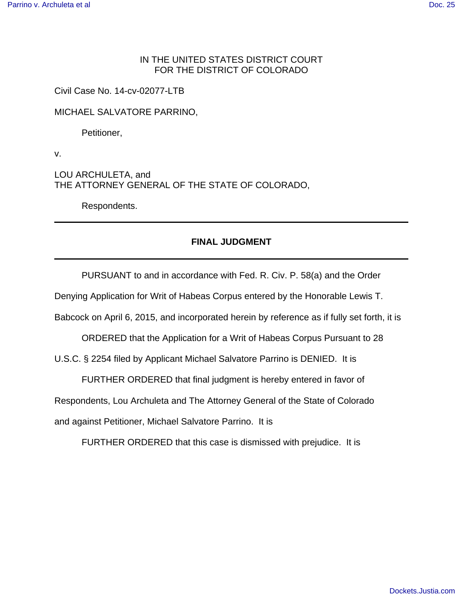## IN THE UNITED STATES DISTRICT COURT FOR THE DISTRICT OF COLORADO

Civil Case No. 14-cv-02077-LTB

MICHAEL SALVATORE PARRINO,

Petitioner,

v.

LOU ARCHULETA, and THE ATTORNEY GENERAL OF THE STATE OF COLORADO,

Respondents.

## **FINAL JUDGMENT**

PURSUANT to and in accordance with Fed. R. Civ. P. 58(a) and the Order

Denying Application for Writ of Habeas Corpus entered by the Honorable Lewis T.

Babcock on April 6, 2015, and incorporated herein by reference as if fully set forth, it is

ORDERED that the Application for a Writ of Habeas Corpus Pursuant to 28

U.S.C. § 2254 filed by Applicant Michael Salvatore Parrino is DENIED. It is

FURTHER ORDERED that final judgment is hereby entered in favor of

Respondents, Lou Archuleta and The Attorney General of the State of Colorado

and against Petitioner, Michael Salvatore Parrino. It is

FURTHER ORDERED that this case is dismissed with prejudice. It is